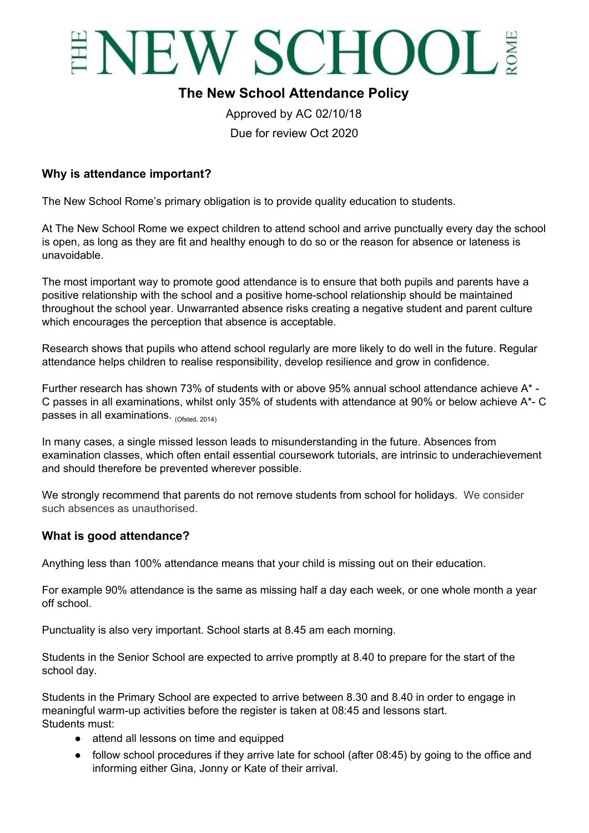

# **The New School Attendance Policy**

Approved by AC 02/10/18 Due for review Oct 2020

#### **Why is attendance important?**

The New School Rome's primary obligation is to provide quality education to students.

At The New School Rome we expect children to attend school and arrive punctually every day the school is open, as long as they are fit and healthy enough to do so or the reason for absence or lateness is unavoidable.

The most important way to promote good attendance is to ensure that both pupils and parents have a positive relationship with the school and a positive home-school relationship should be maintained throughout the school year. Unwarranted absence risks creating a negative student and parent culture which encourages the perception that absence is acceptable.

Research shows that pupils who attend school regularly are more likely to do well in the future. Regular attendance helps children to realise responsibility, develop resilience and grow in confidence.

Further research has shown 73% of students with or above 95% annual school attendance achieve A\* - C passes in all examinations, whilst only 35% of students with attendance at 90% or below achieve A\*- C passes in all examinations. <sub>(Ofsted, 2014)</sub>

In many cases, a single missed lesson leads to misunderstanding in the future. Absences from examination classes, which often entail essential coursework tutorials, are intrinsic to underachievement and should therefore be prevented wherever possible.

We strongly recommend that parents do not remove students from school for holidays. We consider such absences as unauthorised.

#### **What is good attendance?**

Anything less than 100% attendance means that your child is missing out on their education.

For example 90% attendance is the same as missing half a day each week, or one whole month a year off school.

Punctuality is also very important. School starts at 8.45 am each morning.

Students in the Senior School are expected to arrive promptly at 8.40 to prepare for the start of the school day.

Students in the Primary School are expected to arrive between 8.30 and 8.40 in order to engage in meaningful warm-up activities before the register is taken at 08:45 and lessons start. Students must:

- attend all lessons on time and equipped
- follow school procedures if they arrive late for school (after 08:45) by going to the office and informing either Gina, Jonny or Kate of their arrival.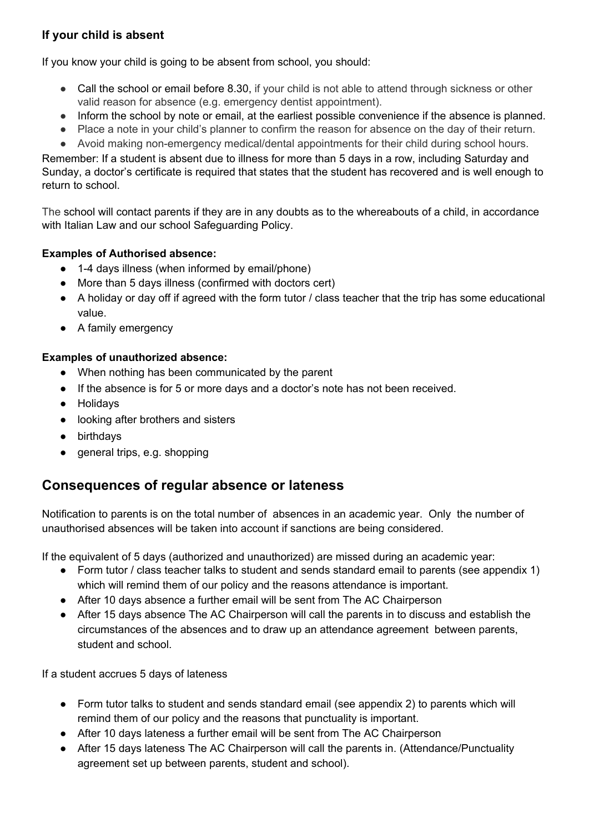### **If your child is absent**

If you know your child is going to be absent from school, you should:

- Call the school or email before 8.30, if your child is not able to attend through sickness or other valid reason for absence (e.g. emergency dentist appointment).
- Inform the school by note or email, at the earliest possible convenience if the absence is planned.
- Place a note in your child's planner to confirm the reason for absence on the day of their return.
- Avoid making non-emergency medical/dental appointments for their child during school hours.

Remember: If a student is absent due to illness for more than 5 days in a row, including Saturday and Sunday, a doctor's certificate is required that states that the student has recovered and is well enough to return to school.

The school will contact parents if they are in any doubts as to the whereabouts of a child, in accordance with Italian Law and our school Safeguarding Policy.

#### **Examples of Authorised absence:**

- 1-4 days illness (when informed by email/phone)
- More than 5 days illness (confirmed with doctors cert)
- A holiday or day off if agreed with the form tutor / class teacher that the trip has some educational value.
- A family emergency

#### **Examples of unauthorized absence:**

- When nothing has been communicated by the parent
- If the absence is for 5 or more days and a doctor's note has not been received.
- Holidays
- looking after brothers and sisters
- birthdays
- general trips, e.g. shopping

# **Consequences of regular absence or lateness**

Notification to parents is on the total number of absences in an academic year. Only the number of unauthorised absences will be taken into account if sanctions are being considered.

If the equivalent of 5 days (authorized and unauthorized) are missed during an academic year:

- Form tutor / class teacher talks to student and sends standard email to parents (see appendix 1) which will remind them of our policy and the reasons attendance is important.
- After 10 days absence a further email will be sent from The AC Chairperson
- After 15 days absence The AC Chairperson will call the parents in to discuss and establish the circumstances of the absences and to draw up an attendance agreement between parents, student and school.

If a student accrues 5 days of lateness

- Form tutor talks to student and sends standard email (see appendix 2) to parents which will remind them of our policy and the reasons that punctuality is important.
- After 10 days lateness a further email will be sent from The AC Chairperson
- After 15 days lateness The AC Chairperson will call the parents in. (Attendance/Punctuality agreement set up between parents, student and school).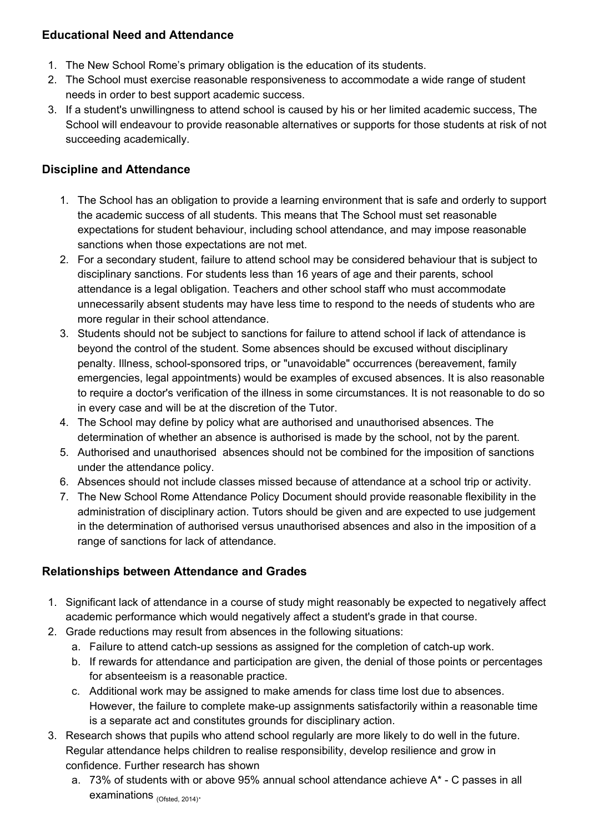### **Educational Need and Attendance**

- 1. The New School Rome's primary obligation is the education of its students.
- 2. The School must exercise reasonable responsiveness to accommodate a wide range of student needs in order to best support academic success.
- 3. If a student's unwillingness to attend school is caused by his or her limited academic success, The School will endeavour to provide reasonable alternatives or supports for those students at risk of not succeeding academically.

## **Discipline and Attendance**

- 1. The School has an obligation to provide a learning environment that is safe and orderly to support the academic success of all students. This means that The School must set reasonable expectations for student behaviour, including school attendance, and may impose reasonable sanctions when those expectations are not met.
- 2. For a secondary student, failure to attend school may be considered behaviour that is subject to disciplinary sanctions. For students less than 16 years of age and their parents, school attendance is a legal obligation. Teachers and other school staff who must accommodate unnecessarily absent students may have less time to respond to the needs of students who are more regular in their school attendance.
- 3. Students should not be subject to sanctions for failure to attend school if lack of attendance is beyond the control of the student. Some absences should be excused without disciplinary penalty. Illness, school-sponsored trips, or "unavoidable" occurrences (bereavement, family emergencies, legal appointments) would be examples of excused absences. It is also reasonable to require a doctor's verification of the illness in some circumstances. It is not reasonable to do so in every case and will be at the discretion of the Tutor.
- 4. The School may define by policy what are authorised and unauthorised absences. The determination of whether an absence is authorised is made by the school, not by the parent.
- 5. Authorised and unauthorised absences should not be combined for the imposition of sanctions under the attendance policy.
- 6. Absences should not include classes missed because of attendance at a school trip or activity.
- 7. The New School Rome Attendance Policy Document should provide reasonable flexibility in the administration of disciplinary action. Tutors should be given and are expected to use judgement in the determination of authorised versus unauthorised absences and also in the imposition of a range of sanctions for lack of attendance.

## **Relationships between Attendance and Grades**

- 1. Significant lack of attendance in a course of study might reasonably be expected to negatively affect academic performance which would negatively affect a student's grade in that course.
- 2. Grade reductions may result from absences in the following situations:
	- a. Failure to attend catch-up sessions as assigned for the completion of catch-up work.
	- b. If rewards for attendance and participation are given, the denial of those points or percentages for absenteeism is a reasonable practice.
	- c. Additional work may be assigned to make amends for class time lost due to absences. However, the failure to complete make-up assignments satisfactorily within a reasonable time is a separate act and constitutes grounds for disciplinary action.
- 3. Research shows that pupils who attend school regularly are more likely to do well in the future. Regular attendance helps children to realise responsibility, develop resilience and grow in confidence. Further research has shown
	- a. 73% of students with or above 95% annual school attendance achieve  $A^*$  C passes in all examinations <sub>(Ofsted, 2014)</sub>.